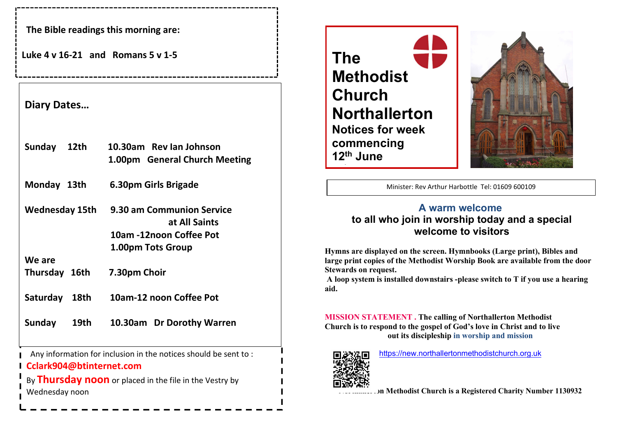The Bible readings this morning are:

Luke  $4$  v  $16-21$  and Romans 5 v  $1-5$ 

### Diary Dates…

| Sunday<br>12th          | 10.30am Rev lan Johnson<br>1.00pm General Church Meeting                                   |
|-------------------------|--------------------------------------------------------------------------------------------|
| Monday 13th             | 6.30pm Girls Brigade                                                                       |
| Wednesday 15th          | 9.30 am Communion Service<br>at All Saints<br>10am -12noon Coffee Pot<br>1.00pm Tots Group |
| We are                  |                                                                                            |
| Thursday 16th           | 7.30pm Choir                                                                               |
| <b>Saturday</b><br>18th | 10am-12 noon Coffee Pot                                                                    |
| Sunday<br>19th          | 10.30am Dr Dorothy Warren                                                                  |

Any information for inclusion in the notices should be sent to :

# Cclark904@btinternet.com

By Thursday noon or placed in the file in the Vestry by Wednesday noon





Minister: Rev Arthur Harbottle Tel: 01609 600109

I

I

## A warm welcome to all who join in worship today and a special welcome to visitors

Hymns are displayed on the screen. Hymnbooks (Large print), Bibles and large print copies of the Methodist Worship Book are available from the door Stewards on request.

 A loop system is installed downstairs -please switch to T if you use a hearing aid.

MISSION STATEMENT . The calling of Northallerton Methodist Church is to respond to the gospel of God's love in Christ and to live out its discipleship in worship and mission



https://new.northallertonmethodistchurch.org.uk

Ion Methodist Church is a Registered Charity Number 1130932